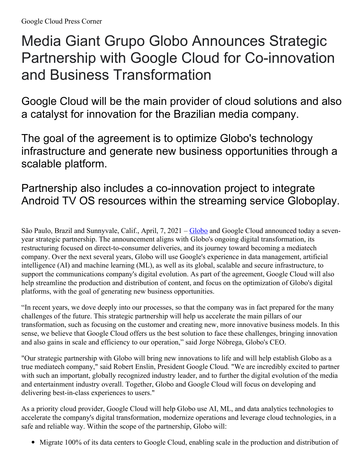## Media Giant Grupo Globo Announces Strategic Partnership with Google Cloud for Co-innovation and Business Transformation

Google Cloud will be the main provider of cloud solutions and also a catalyst for innovation for the Brazilian media company.

The goal of the agreement is to optimize Globo's technology infrastructure and generate new business opportunities through a scalable platform.

## Partnership also includes a co-innovation project to integrate Android TV OS resources within the streaming service Globoplay.

São Paulo, Brazil and Sunnyvale, Calif., April, 7, 2021 – [Globo](https://www.globo.com/) and Google Cloud announced today a sevenyear strategic partnership. The announcement aligns with Globo's ongoing digital transformation, its restructuring focused on direct-to-consumer deliveries, and its journey toward becoming a mediatech company. Over the next several years, Globo will use Google's experience in data management, artificial intelligence (AI) and machine learning (ML), as well as its global, scalable and secure infrastructure, to support the communications company's digital evolution. As part of the agreement, Google Cloud will also help streamline the production and distribution of content, and focus on the optimization of Globo's digital platforms, with the goal of generating new business opportunities.

"In recent years, we dove deeply into our processes, so that the company was in fact prepared for the many challenges of the future. This strategic partnership will help us accelerate the main pillars of our transformation, such as focusing on the customer and creating new, more innovative business models. In this sense, we believe that Google Cloud offers us the best solution to face these challenges, bringing innovation and also gains in scale and efficiency to our operation," said Jorge Nóbrega, Globo's CEO.

"Our strategic partnership with Globo will bring new innovations to life and will help establish Globo as a true mediatech company," said Robert Enslin, President Google Cloud. "We are incredibly excited to partner with such an important, globally recognized industry leader, and to further the digital evolution of the media and entertainment industry overall. Together, Globo and Google Cloud will focus on developing and delivering best-in-class experiences to users."

As a priority cloud provider, Google Cloud will help Globo use AI, ML, and data analytics technologies to accelerate the company's digital transformation, modernize operations and leverage cloud technologies, in a safe and reliable way. Within the scope of the partnership, Globo will:

Migrate 100% of its data centers to Google Cloud, enabling scale in the production and distribution of